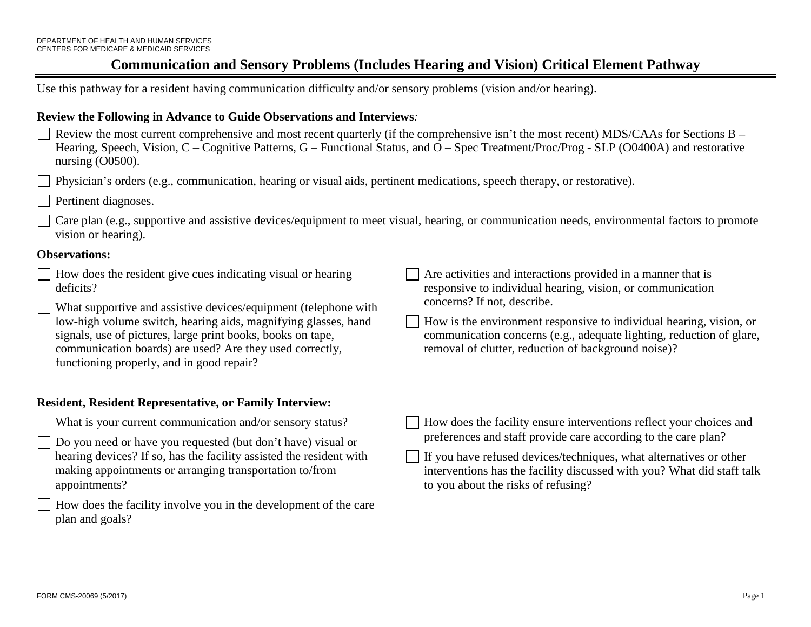Use this pathway for a resident having communication difficulty and/or sensory problems (vision and/or hearing).

### **Review the Following in Advance to Guide Observations and Interviews***:*

Review the most current comprehensive and most recent quarterly (if the comprehensive isn't the most recent) MDS/CAAs for Sections B – Hearing, Speech, Vision, C – Cognitive Patterns, G – Functional Status, and O – Spec Treatment/Proc/Prog - SLP (O0400A) and restorative nursing (O0500).

Physician's orders (e.g., communication, hearing or visual aids, pertinent medications, speech therapy, or restorative).

Pertinent diagnoses.

Care plan (e.g., supportive and assistive devices/equipment to meet visual, hearing, or communication needs, environmental factors to promote vision or hearing).

#### **Observations:**

How does the resident give cues indicating visual or hearing deficits?

What supportive and assistive devices/equipment (telephone with low-high volume switch, hearing aids, magnifying glasses, hand signals, use of pictures, large print books, books on tape, communication boards) are used? Are they used correctly, functioning properly, and in good repair?

### **Resident, Resident Representative, or Family Interview:**

- What is your current communication and/or sensory status?
- Do you need or have you requested (but don't have) visual or hearing devices? If so, has the facility assisted the resident with making appointments or arranging transportation to/from appointments?
- How does the facility involve you in the development of the care plan and goals?

Are activities and interactions provided in a manner that is responsive to individual hearing, vision, or communication concerns? If not, describe.

- How is the environment responsive to individual hearing, vision, or communication concerns (e.g., adequate lighting, reduction of glare, removal of clutter, reduction of background noise)?
- $\Box$  How does the facility ensure interventions reflect your choices and preferences and staff provide care according to the care plan?
- If you have refused devices/techniques, what alternatives or other interventions has the facility discussed with you? What did staff talk to you about the risks of refusing?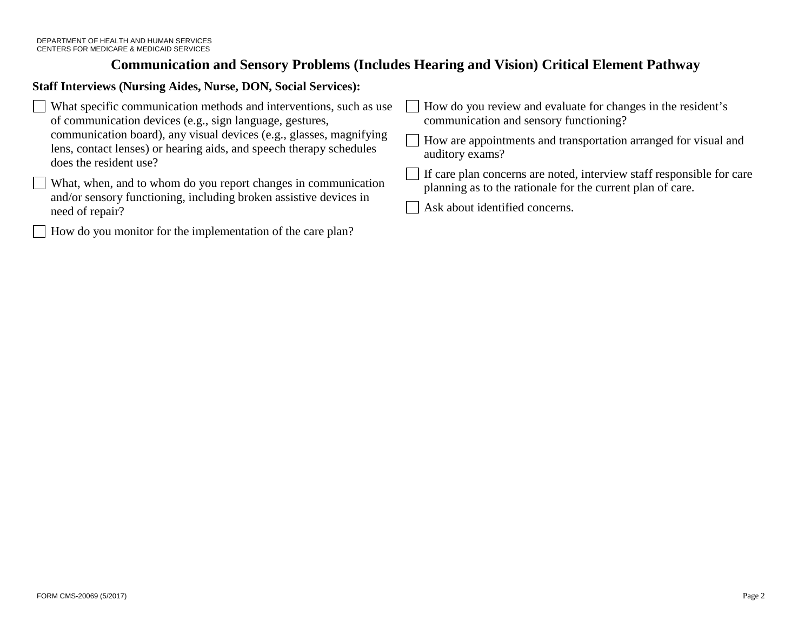### **Staff Interviews (Nursing Aides, Nurse, DON, Social Services):**

| What specific communication methods and interventions, such as use                                                                                                   | How do you review and evaluate for changes in the resident's                                                                        |
|----------------------------------------------------------------------------------------------------------------------------------------------------------------------|-------------------------------------------------------------------------------------------------------------------------------------|
| of communication devices (e.g., sign language, gestures,                                                                                                             | communication and sensory functioning?                                                                                              |
| communication board), any visual devices (e.g., glasses, magnifying<br>lens, contact lenses) or hearing aids, and speech therapy schedules<br>does the resident use? | How are appointments and transportation arranged for visual and<br>auditory exams?                                                  |
| What, when, and to whom do you report changes in communication<br>and/or sensory functioning, including broken assistive devices in                                  | If care plan concerns are noted, interview staff responsible for care<br>planning as to the rationale for the current plan of care. |
| need of repair?                                                                                                                                                      | Ask about identified concerns.                                                                                                      |

How do you monitor for the implementation of the care plan?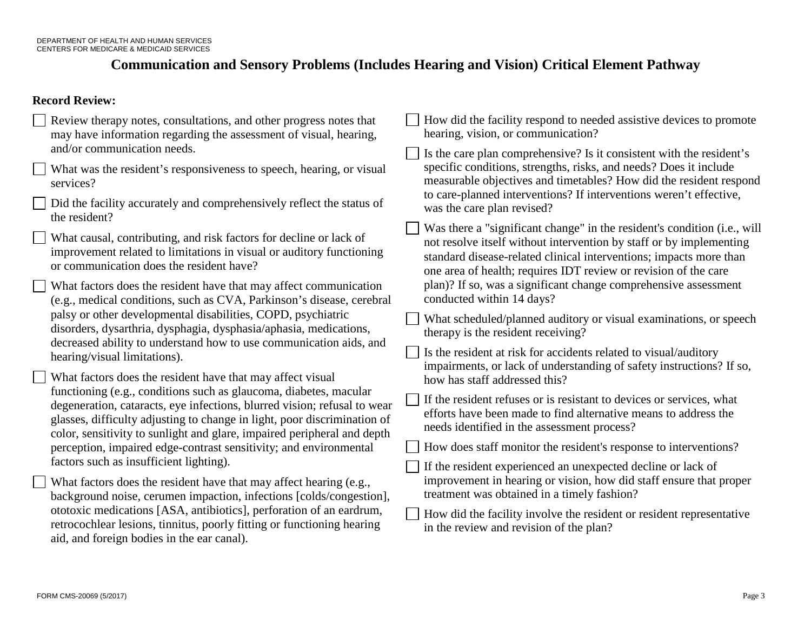### **Record Review:**

| Review therapy notes, consultations, and other progress notes that                                                                                                                                                                                                                                   | How did the facility respond to needed assistive devices to promote                                                                                                                                                                                                                      |
|------------------------------------------------------------------------------------------------------------------------------------------------------------------------------------------------------------------------------------------------------------------------------------------------------|------------------------------------------------------------------------------------------------------------------------------------------------------------------------------------------------------------------------------------------------------------------------------------------|
| may have information regarding the assessment of visual, hearing,                                                                                                                                                                                                                                    | hearing, vision, or communication?                                                                                                                                                                                                                                                       |
| and/or communication needs.                                                                                                                                                                                                                                                                          | Is the care plan comprehensive? Is it consistent with the resident's                                                                                                                                                                                                                     |
| What was the resident's responsiveness to speech, hearing, or visual                                                                                                                                                                                                                                 | specific conditions, strengths, risks, and needs? Does it include                                                                                                                                                                                                                        |
| services?                                                                                                                                                                                                                                                                                            | measurable objectives and timetables? How did the resident respond                                                                                                                                                                                                                       |
| Did the facility accurately and comprehensively reflect the status of                                                                                                                                                                                                                                | to care-planned interventions? If interventions weren't effective,                                                                                                                                                                                                                       |
| the resident?                                                                                                                                                                                                                                                                                        | was the care plan revised?                                                                                                                                                                                                                                                               |
| What causal, contributing, and risk factors for decline or lack of<br>improvement related to limitations in visual or auditory functioning<br>or communication does the resident have?                                                                                                               | Was there a "significant change" in the resident's condition (i.e., will<br>not resolve itself without intervention by staff or by implementing<br>standard disease-related clinical interventions; impacts more than<br>one area of health; requires IDT review or revision of the care |
| What factors does the resident have that may affect communication                                                                                                                                                                                                                                    | plan)? If so, was a significant change comprehensive assessment                                                                                                                                                                                                                          |
| (e.g., medical conditions, such as CVA, Parkinson's disease, cerebral                                                                                                                                                                                                                                | conducted within 14 days?                                                                                                                                                                                                                                                                |
| palsy or other developmental disabilities, COPD, psychiatric                                                                                                                                                                                                                                         | What scheduled/planned auditory or visual examinations, or speech                                                                                                                                                                                                                        |
| disorders, dysarthria, dysphagia, dysphasia/aphasia, medications,                                                                                                                                                                                                                                    | therapy is the resident receiving?                                                                                                                                                                                                                                                       |
| decreased ability to understand how to use communication aids, and                                                                                                                                                                                                                                   | Is the resident at risk for accidents related to visual/auditory                                                                                                                                                                                                                         |
| hearing/visual limitations).                                                                                                                                                                                                                                                                         | impairments, or lack of understanding of safety instructions? If so,                                                                                                                                                                                                                     |
| What factors does the resident have that may affect visual                                                                                                                                                                                                                                           | how has staff addressed this?                                                                                                                                                                                                                                                            |
| functioning (e.g., conditions such as glaucoma, diabetes, macular<br>degeneration, cataracts, eye infections, blurred vision; refusal to wear<br>glasses, difficulty adjusting to change in light, poor discrimination of<br>color, sensitivity to sunlight and glare, impaired peripheral and depth | If the resident refuses or is resistant to devices or services, what<br>efforts have been made to find alternative means to address the<br>needs identified in the assessment process?                                                                                                   |
| perception, impaired edge-contrast sensitivity; and environmental                                                                                                                                                                                                                                    | How does staff monitor the resident's response to interventions?                                                                                                                                                                                                                         |
| factors such as insufficient lighting).                                                                                                                                                                                                                                                              | If the resident experienced an unexpected decline or lack of                                                                                                                                                                                                                             |
| What factors does the resident have that may affect hearing (e.g.,                                                                                                                                                                                                                                   | improvement in hearing or vision, how did staff ensure that proper                                                                                                                                                                                                                       |
| background noise, cerumen impaction, infections [colds/congestion],                                                                                                                                                                                                                                  | treatment was obtained in a timely fashion?                                                                                                                                                                                                                                              |
| ototoxic medications [ASA, antibiotics], perforation of an eardrum,<br>retrocochlear lesions, tinnitus, poorly fitting or functioning hearing<br>aid, and foreign bodies in the ear canal).                                                                                                          | How did the facility involve the resident or resident representative<br>in the review and revision of the plan?                                                                                                                                                                          |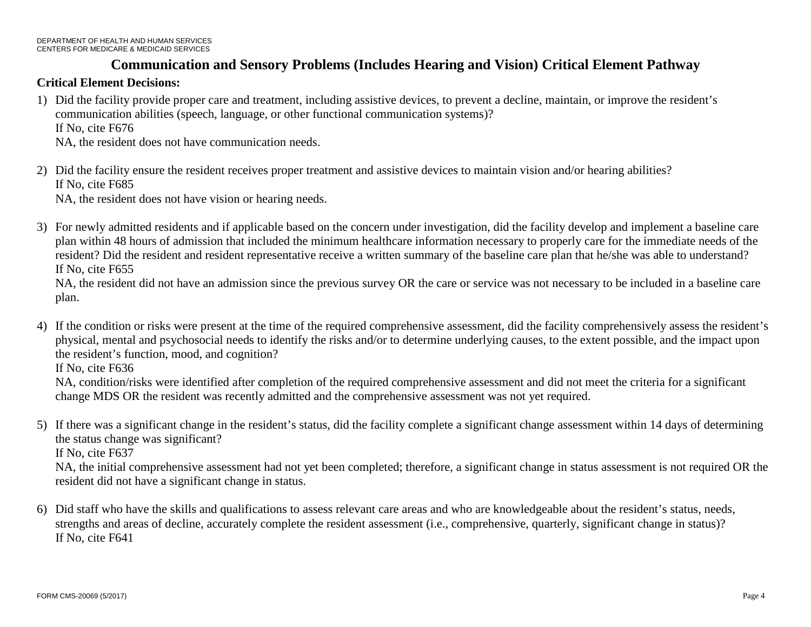### **Critical Element Decisions:**

- 1) Did the facility provide proper care and treatment, including assistive devices, to prevent a decline, maintain, or improve the resident's communication abilities (speech, language, or other functional communication systems)? If No, cite F676 NA, the resident does not have communication needs.
- 2) Did the facility ensure the resident receives proper treatment and assistive devices to maintain vision and/or hearing abilities? If No, cite F685

NA, the resident does not have vision or hearing needs.

3) For newly admitted residents and if applicable based on the concern under investigation, did the facility develop and implement a baseline care plan within 48 hours of admission that included the minimum healthcare information necessary to properly care for the immediate needs of the resident? Did the resident and resident representative receive a written summary of the baseline care plan that he/she was able to understand? If No, cite F655

NA, the resident did not have an admission since the previous survey OR the care or service was not necessary to be included in a baseline care plan.

4) If the condition or risks were present at the time of the required comprehensive assessment, did the facility comprehensively assess the resident's physical, mental and psychosocial needs to identify the risks and/or to determine underlying causes, to the extent possible, and the impact upon the resident's function, mood, and cognition?

If No, cite F636

NA, condition/risks were identified after completion of the required comprehensive assessment and did not meet the criteria for a significant change MDS OR the resident was recently admitted and the comprehensive assessment was not yet required.

5) If there was a significant change in the resident's status, did the facility complete a significant change assessment within 14 days of determining the status change was significant?

If No, cite F637

NA, the initial comprehensive assessment had not yet been completed; therefore, a significant change in status assessment is not required OR the resident did not have a significant change in status.

6) Did staff who have the skills and qualifications to assess relevant care areas and who are knowledgeable about the resident's status, needs, strengths and areas of decline, accurately complete the resident assessment (i.e., comprehensive, quarterly, significant change in status)? If No, cite F641